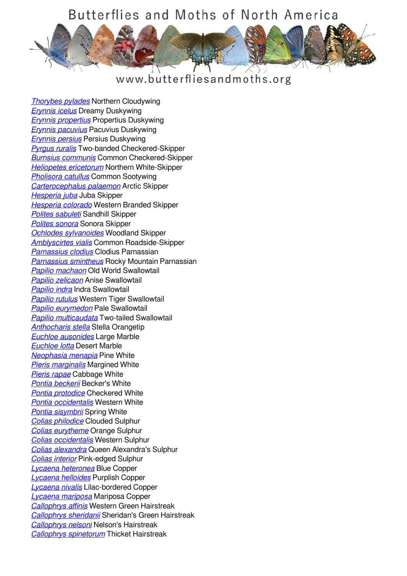

### www.butterfliesandmoths.org

*[Thorybes pylades](/species/Thorybes-pylades)* Northern Cloudywing *[Erynnis icelus](/species/Erynnis-icelus)* Dreamy Duskywing *[Erynnis propertius](/species/Erynnis-propertius)* Propertius Duskywing *[Erynnis pacuvius](/species/Erynnis-pacuvius)* Pacuvius Duskywing *[Erynnis persius](/species/Erynnis-persius)* Persius Duskywing *[Pyrgus ruralis](/species/Pyrgus-ruralis)* Two-banded Checkered-Skipper *[Burnsius communis](/species/Pyrgus-communis)* Common Checkered-Skipper *[Heliopetes ericetorum](/species/Heliopetes-ericetorum)* Northern White-Skipper *[Pholisora catullus](/species/Pholisora-catullus)* Common Sootywing *[Carterocephalus palaemon](/species/Carterocephalus-palaemon)* Arctic Skipper *[Hesperia juba](/species/Hesperia-juba)* Juba Skipper *[Hesperia colorado](/species/Hesperia-colorado)* Western Branded Skipper *[Polites sabuleti](/species/Polites-sabuleti)* Sandhill Skipper *[Polites sonora](/species/Polites-sonora)* Sonora Skipper *[Ochlodes sylvanoides](/species/Ochlodes-sylvanoides)* Woodland Skipper *[Amblyscirtes vialis](/species/Amblyscirtes-vialis)* Common Roadside-Skipper *[Parnassius clodius](/species/Parnassius-clodius)* Clodius Parnassian *[Parnassius smintheus](/species/Parnassius-smintheus)* Rocky Mountain Parnassian *[Papilio machaon](/species/Papilio-machaon)* Old World Swallowtail *[Papilio zelicaon](/species/Papilio-zelicaon)* Anise Swallowtail *[Papilio indra](/species/Papilio-indra)* Indra Swallowtail *[Papilio rutulus](/species/Papilio-rutulus)* Western Tiger Swallowtail *[Papilio eurymedon](/species/Papilio-eurymedon)* Pale Swallowtail *[Papilio multicaudata](/species/Papilio-multicaudata)* Two-tailed Swallowtail *[Anthocharis stella](/species/Anthocharis-stella)* Stella Orangetip *[Euchloe ausonides](/species/Euchloe-ausonides)* Large Marble *[Euchloe lotta](/species/Euchloe-lotta)* Desert Marble *[Neophasia menapia](/species/Neophasia-menapia)* Pine White *[Pieris marginalis](/species/Pieris-marginalis)* Margined White *[Pieris rapae](/species/Pieris-rapae)* Cabbage White *[Pontia beckerii](/species/Pontia-beckerii)* Becker's White *[Pontia protodice](/species/Pontia-protodice)* Checkered White *[Pontia occidentalis](/species/Pontia-occidentalis)* Western White *[Pontia sisymbrii](/species/Pontia-sisymbrii)* Spring White *[Colias philodice](/species/Colias-philodice)* Clouded Sulphur *[Colias eurytheme](/species/Colias-eurytheme)* Orange Sulphur *[Colias occidentalis](/species/Colias-occidentalis)* Western Sulphur *[Colias alexandra](/species/Colias-alexandra)* Queen Alexandra's Sulphur *[Colias interior](/species/Colias-interior)* Pink-edged Sulphur *[Lycaena heteronea](/species/Lycaena-heteronea)* Blue Copper *[Lycaena helloides](/species/Lycaena-helloides)* Purplish Copper *[Lycaena nivalis](/species/Lycaena-nivalis)* Lilac-bordered Copper *[Lycaena mariposa](/species/Lycaena-mariposa)* Mariposa Copper *[Callophrys affinis](/species/Callophrys-affinis)* Western Green Hairstreak *[Callophrys sheridanii](/species/Callophrys-sheridanii)* Sheridan's Green Hairstreak *[Callophrys nelsoni](/species/Callophrys-nelsoni)* Nelson's Hairstreak *[Callophrys spinetorum](/species/Callophrys-spinetorum)* Thicket Hairstreak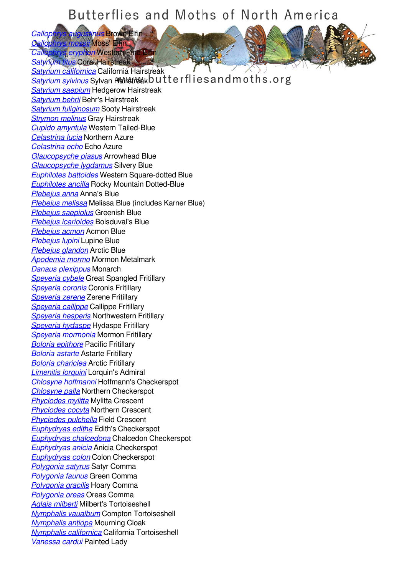*[Callophrys augustinus](/species/Callophrys-augustinus) Brown Elfin<br>Oallophrys mossi Moss' Effin [Callophrys mossii](/species/Callophrys-mossii)* Moss' Elfin *[Callophrys eryphon](/species/Callophrys-eryphon)* Western Pin *[Satyrium titus](/species/Satyrium-titus)* Coral Hairstreak *[Satyrium californica](/species/Satyrium-californica)* California Hairstreak *[Satyrium sylvinus](/species/Satyrium-sylvinus)* Sylvan Hairstreak butterflies and moths.org *[Satyrium saepium](/species/Satyrium-saepium)* Hedgerow Hairstreak *[Satyrium behrii](/species/Satyrium-behrii)* Behr's Hairstreak *[Satyrium fuliginosum](/species/Satyrium-fuliginosum)* Sooty Hairstreak *[Strymon melinus](/species/Strymon-melinus)* Gray Hairstreak *[Cupido amyntula](/species/Cupido-amyntula)* Western Tailed-Blue *[Celastrina lucia](/species/Celastrina-lucia)* Northern Azure *[Celastrina echo](/species/Celastrina-echo)* Echo Azure *[Glaucopsyche piasus](/species/Glaucopsyche-piasus)* Arrowhead Blue *[Glaucopsyche lygdamus](/species/Glaucopsyche-lygdamus)* Silvery Blue *[Euphilotes battoides](/species/Euphilotes-battoides)* Western Square-dotted Blue *[Euphilotes ancilla](/species/Euphilotes-ancilla)* Rocky Mountain Dotted-Blue *[Plebejus anna](/species/Plebejus-anna)* Anna's Blue *[Plebejus melissa](/species/Plebejus-melissa)* Melissa Blue (includes Karner Blue) *[Plebejus saepiolus](/species/Plebejus-saepiolus)* Greenish Blue *[Plebejus icarioides](/species/Plebejus-icarioides)* Boisduval's Blue *[Plebejus acmon](/species/Plebejus-acmon)* Acmon Blue *[Plebejus lupini](/species/Plebejus-lupini)* Lupine Blue *[Plebejus glandon](/species/Plebejus-glandon)* Arctic Blue *[Apodemia mormo](/species/Apodemia-mormo)* Mormon Metalmark *[Danaus plexippus](/species/Danaus-plexippus)* Monarch *[Speyeria cybele](/species/Speyeria-cybele)* Great Spangled Fritillary *[Speyeria coronis](/species/Speyeria-coronis)* Coronis Fritillary *[Speyeria zerene](/species/Speyeria-zerene)* Zerene Fritillary *[Speyeria callippe](/species/Speyeria-callippe)* Callippe Fritillary *[Speyeria hesperis](/species/Speyeria-hesperis)* Northwestern Fritillary *[Speyeria hydaspe](/species/Speyeria-hydaspe)* Hydaspe Fritillary *[Speyeria mormonia](/species/Speyeria-mormonia)* Mormon Fritillary *[Boloria epithore](/species/Boloria-epithore)* Pacific Fritillary *[Boloria astarte](/species/Boloria-astarte)* Astarte Fritillary *[Boloria chariclea](/species/Boloria-chariclea)* Arctic Fritillary *[Limenitis lorquini](/species/Limenitis-lorquini)* Lorquin's Admiral *[Chlosyne hoffmanni](/species/Chlosyne-hoffmanni)* Hoffmann's Checkerspot *[Chlosyne palla](/species/Chlosyne-palla)* Northern Checkerspot *[Phyciodes mylitta](/species/Phyciodes-mylitta)* Mylitta Crescent *[Phyciodes cocyta](/species/Phyciodes-cocyta)* Northern Crescent *[Phyciodes pulchella](/species/Phyciodes-pulchella)* Field Crescent *[Euphydryas editha](/species/Euphydryas-editha)* Edith's Checkerspot *[Euphydryas chalcedona](/species/Euphydryas-chalcedona)* Chalcedon Checkerspot *[Euphydryas anicia](/species/Euphydryas-anicia)* Anicia Checkerspot *[Euphydryas colon](/species/Euphydryas-colon)* Colon Checkerspot *[Polygonia satyrus](/species/Polygonia-satyrus)* Satyr Comma *[Polygonia faunus](/species/Polygonia-faunus)* Green Comma *[Polygonia gracilis](/species/Polygonia-gracilis)* Hoary Comma *[Polygonia oreas](/species/Polygonia-oreas)* Oreas Comma *[Aglais milberti](/species/Aglais-milberti)* Milbert's Tortoiseshell *[Nymphalis vaualbum](/species/Nymphalis-vaualbum)* Compton Tortoiseshell *[Nymphalis antiopa](/species/Nymphalis-antiopa)* Mourning Cloak *[Nymphalis californica](/species/Nymphalis-californica)* California Tortoiseshell *[Vanessa cardui](/species/Vanessa-cardui)* Painted Lady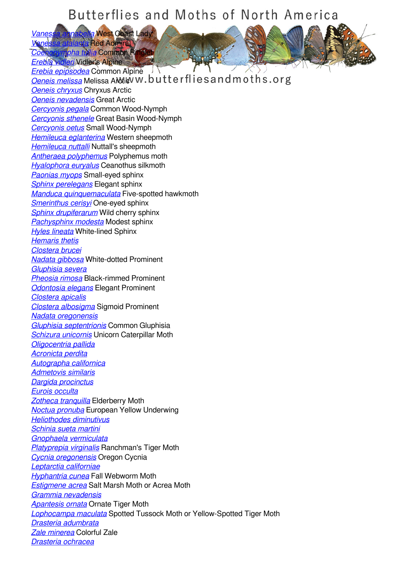*[Vanessa annabella](/species/Vanessa-annabella)* West Coast Lady *[Vanessa atalanta](/species/Vanessa-atalanta)* Red Admiral **I**pha tullia Common Ri

*[Erebia vidleri](/species/Erebia-vidleri)* Vidler's Alpine

*[Erebia epipsodea](/species/Erebia-epipsodea)* Common Alpine *<u>[Oeneis melissa](/species/Oeneis-melissa)</u>***</u> Melissa ARCtic W.butterflies and moths.org** *[Oeneis chryxus](/species/Oeneis-chryxus)* Chryxus Arctic *[Oeneis nevadensis](/species/Oeneis-nevadensis)* Great Arctic *[Cercyonis pegala](/species/Cercyonis-pegala)* Common Wood-Nymph *[Cercyonis sthenele](/species/Cercyonis-sthenele)* Great Basin Wood-Nymph *[Cercyonis oetus](/species/Cercyonis-oetus)* Small Wood-Nymph *[Hemileuca eglanterina](/species/Hemileuca-eglanterina)* Western sheepmoth *[Hemileuca nuttalli](/species/Hemileuca-nuttalli)* Nuttall's sheepmoth *[Antheraea polyphemus](/species/Antheraea-polyphemus)* Polyphemus moth *[Hyalophora euryalus](/species/Hyalophora-euryalus)* Ceanothus silkmoth *[Paonias myops](/species/Paonias-myops)* Small-eyed sphinx *[Sphinx perelegans](/species/Sphinx-perelegans)* Elegant sphinx *[Manduca quinquemaculata](/species/Manduca-quinquemaculata)* Five-spotted hawkmoth *[Smerinthus cerisyi](/species/Smerinthus-cerisyi)* One-eyed sphinx *[Sphinx drupiferarum](/species/Sphinx-drupiferarum)* Wild cherry sphinx *[Pachysphinx modesta](/species/Pachysphinx-modesta)* Modest sphinx *[Hyles lineata](/species/Hyles-lineata)* White-lined Sphinx *[Hemaris thetis](/species/Hemaris-thetis) [Clostera brucei](/species/Clostera-brucei) [Nadata gibbosa](/species/Nadata-gibbosa)* White-dotted Prominent *[Gluphisia severa](/species/Gluphisia-severa) [Pheosia rimosa](/species/Pheosia-rimosa)* Black-rimmed Prominent *[Odontosia elegans](/species/Odontosia-elegans)* Elegant Prominent *[Clostera apicalis](/species/Clostera-apicalis) [Clostera albosigma](/species/Clostera-albosigma)* Sigmoid Prominent *[Nadata oregonensis](/species/Nadata-oregonensis) [Gluphisia septentrionis](/species/Gluphisia-septentrionis)* Common Gluphisia *[Schizura unicornis](/species/Schizura-unicornis)* Unicorn Caterpillar Moth *[Oligocentria pallida](/species/Oligocentria-pallida) [Acronicta perdita](/species/Acronicta-perdita) [Autographa californica](/species/Autographa-californica) [Admetovis similaris](/species/Admetovis-similaris) [Dargida procinctus](/species/Dargida-procinctus) [Eurois occulta](/species/Eurois-occulta) [Zotheca tranquilla](/species/Zotheca-tranquilla)* Elderberry Moth *[Noctua pronuba](/species/Noctua-pronuba)* European Yellow Underwing *[Heliothodes diminutivus](/species/Heliothodes-diminutivus) [Schinia sueta martini](/species/Schinia-sueta-martini) [Gnophaela vermiculata](/species/Gnophaela-vermiculata) [Platyprepia virginalis](/species/Platyprepia-virginalis)* Ranchman's Tiger Moth *[Cycnia oregonensis](/species/Cycnia-oregonensis)* Oregon Cycnia *[Leptarctia californiae](/species/Leptarctia-californiae) [Hyphantria cunea](/species/Hyphantria-cunea)* Fall Webworm Moth *[Estigmene acrea](/species/Estigmene-acrea)* Salt Marsh Moth or Acrea Moth *[Grammia nevadensis](/species/Grammia-nevadensis) [Apantesis ornata](/species/Apantesis-ornata)* Ornate Tiger Moth *[Lophocampa maculata](/species/Lophocampa-maculata)* Spotted Tussock Moth or Yellow-Spotted Tiger Moth *[Drasteria adumbrata](/species/Drasteria-adumbrata) [Zale minerea](/species/Zale-minerea)* Colorful Zale *[Drasteria ochracea](/species/Drasteria-ochracea)*